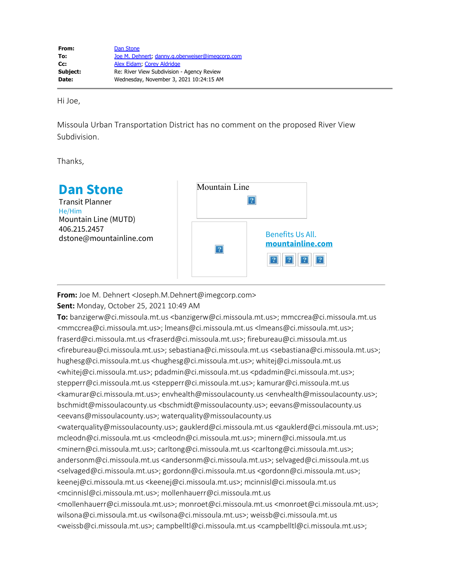Hi Joe,

Missoula Urban Transportation District has no comment on the proposed River View Subdivision.

Thanks,

| <b>Dan Stone</b><br><b>Transit Planner</b><br>He/Him<br>Mountain Line (MUTD)<br>406.215.2457<br>dstone@mountainline.com | Mountain Line |                                      |
|-------------------------------------------------------------------------------------------------------------------------|---------------|--------------------------------------|
|                                                                                                                         |               | Benefits Us All.<br>mountainline.com |

**From:** Joe M. Dehnert <Joseph.M.Dehnert@imegcorp.com>

**Sent:** Monday, October 25, 2021 10:49 AM

**To:** banzigerw@ci.missoula.mt.us <banzigerw@ci.missoula.mt.us>; mmccrea@ci.missoula.mt.us <mmccrea@ci.missoula.mt.us>; lmeans@ci.missoula.mt.us <lmeans@ci.missoula.mt.us>; fraserd@ci.missoula.mt.us <fraserd@ci.missoula.mt.us>; firebureau@ci.missoula.mt.us <firebureau@ci.missoula.mt.us>; sebastiana@ci.missoula.mt.us <sebastiana@ci.missoula.mt.us>; hughesg@ci.missoula.mt.us <hughesg@ci.missoula.mt.us>; whitej@ci.missoula.mt.us <whitej@ci.missoula.mt.us>; pdadmin@ci.missoula.mt.us <pdadmin@ci.missoula.mt.us>; stepperr@ci.missoula.mt.us <stepperr@ci.missoula.mt.us>; kamurar@ci.missoula.mt.us <kamurar@ci.missoula.mt.us>; envhealth@missoulacounty.us <envhealth@missoulacounty.us>; bschmidt@missoulacounty.us <bschmidt@missoulacounty.us>; eevans@missoulacounty.us <eevans@missoulacounty.us>; waterquality@missoulacounty.us

<waterquality@missoulacounty.us>; gauklerd@ci.missoula.mt.us <gauklerd@ci.missoula.mt.us>; mcleodn@ci.missoula.mt.us <mcleodn@ci.missoula.mt.us>; minern@ci.missoula.mt.us <minern@ci.missoula.mt.us>; carltong@ci.missoula.mt.us <carltong@ci.missoula.mt.us>; andersonm@ci.missoula.mt.us <andersonm@ci.missoula.mt.us>; selvaged@ci.missoula.mt.us <selvaged@ci.missoula.mt.us>; gordonn@ci.missoula.mt.us <gordonn@ci.missoula.mt.us>; keenej@ci.missoula.mt.us <keenej@ci.missoula.mt.us>; mcinnisl@ci.missoula.mt.us <mcinnisl@ci.missoula.mt.us>; mollenhauerr@ci.missoula.mt.us <mollenhauerr@ci.missoula.mt.us>; monroet@ci.missoula.mt.us <monroet@ci.missoula.mt.us>; wilsona@ci.missoula.mt.us <wilsona@ci.missoula.mt.us>; weissb@ci.missoula.mt.us

<weissb@ci.missoula.mt.us>; campbelltl@ci.missoula.mt.us <campbelltl@ci.missoula.mt.us>;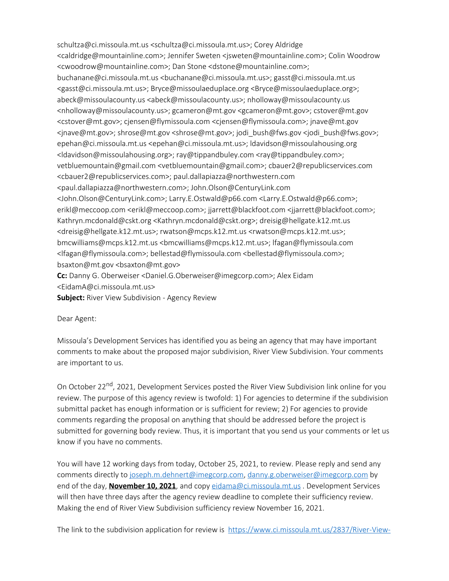schultza@ci.missoula.mt.us <schultza@ci.missoula.mt.us>; Corey Aldridge <caldridge@mountainline.com>; Jennifer Sweten <jsweten@mountainline.com>; Colin Woodrow <cwoodrow@mountainline.com>; Dan Stone <dstone@mountainline.com>; buchanane@ci.missoula.mt.us <buchanane@ci.missoula.mt.us>; gasst@ci.missoula.mt.us <gasst@ci.missoula.mt.us>; Bryce@missoulaeduplace.org <Bryce@missoulaeduplace.org>; abeck@missoulacounty.us <abeck@missoulacounty.us>; nholloway@missoulacounty.us <nholloway@missoulacounty.us>; gcameron@mt.gov <gcameron@mt.gov>; cstover@mt.gov <cstover@mt.gov>; cjensen@flymissoula.com <cjensen@flymissoula.com>; jnave@mt.gov <jnave@mt.gov>; shrose@mt.gov <shrose@mt.gov>; jodi\_bush@fws.gov <jodi\_bush@fws.gov>; epehan@ci.missoula.mt.us <epehan@ci.missoula.mt.us>; ldavidson@missoulahousing.org <ldavidson@missoulahousing.org>; ray@tippandbuley.com <ray@tippandbuley.com>; vetbluemountain@gmail.com <vetbluemountain@gmail.com>; cbauer2@republicservices.com <cbauer2@republicservices.com>; paul.dallapiazza@northwestern.com <paul.dallapiazza@northwestern.com>; John.Olson@CenturyLink.com <John.Olson@CenturyLink.com>; Larry.E.Ostwald@p66.com <Larry.E.Ostwald@p66.com>; erikl@meccoop.com <erikl@meccoop.com>; jjarrett@blackfoot.com <jjarrett@blackfoot.com>; Kathryn.mcdonald@cskt.org <Kathryn.mcdonald@cskt.org>; dreisig@hellgate.k12.mt.us <dreisig@hellgate.k12.mt.us>; rwatson@mcps.k12.mt.us <rwatson@mcps.k12.mt.us>; bmcwilliams@mcps.k12.mt.us <bmcwilliams@mcps.k12.mt.us>; lfagan@flymissoula.com <lfagan@flymissoula.com>; bellestad@flymissoula.com <bellestad@flymissoula.com>; bsaxton@mt.gov <bsaxton@mt.gov> **Cc:** Danny G. Oberweiser <Daniel.G.Oberweiser@imegcorp.com>; Alex Eidam

<EidamA@ci.missoula.mt.us>

**Subject:** River View Subdivision - Agency Review

Dear Agent:

Missoula's Development Services has identified you as being an agency that may have important comments to make about the proposed major subdivision, River View Subdivision. Your comments are important to us.

On October 22<sup>nd</sup>, 2021, Development Services posted the River View Subdivision link online for you review. The purpose of this agency review is twofold: 1) For agencies to determine if the subdivision submittal packet has enough information or is sufficient for review; 2) For agencies to provide comments regarding the proposal on anything that should be addressed before the project is submitted for governing body review. Thus, it is important that you send us your comments or let us know if you have no comments.

You will have 12 working days from today, October 25, 2021, to review. Please reply and send any comments directly to [joseph.m.dehnert@imegcorp.com](mailto:joseph.m.dehnert@imegcorp.com), [danny.g.oberweiser@imegcorp.com](mailto:danny.g.oberweiser@imegcorp.com) by end of the day, **November 10, 2021**, and copy [eidama@ci.missoula.mt.us](mailto:eidama@ci.missoula.mt.us) . Development Services will then have three days after the agency review deadline to complete their sufficiency review. Making the end of River View Subdivision sufficiency review November 16, 2021.

The link to the subdivision application for review is [https://www.ci.missoula.mt.us/2837/River-View-](https://nam04.safelinks.protection.outlook.com/?url=https%3A%2F%2Fwww.ci.missoula.mt.us%2F2837%2FRiver-View-Subdivision-and-Rezone&data=04%7C01%7CJoseph.M.Dehnert%40imegcorp.com%7C1368624d900d443f70e008d995874088%7C7b8f7acce1c0467a86e9678144da7881%7C1%7C0%7C637705230446421963%7CUnknown%7CTWFpbGZsb3d8eyJWIjoiMC4wLjAwMDAiLCJQIjoiV2luMzIiLCJBTiI6Ik1haWwiLCJXVCI6Mn0%3D%7C1000&sdata=Lkd69QpaKrzzmrLdMx9PVq1pazLPPKyD7P%2B0TFqdfkg%3D&reserved=0)